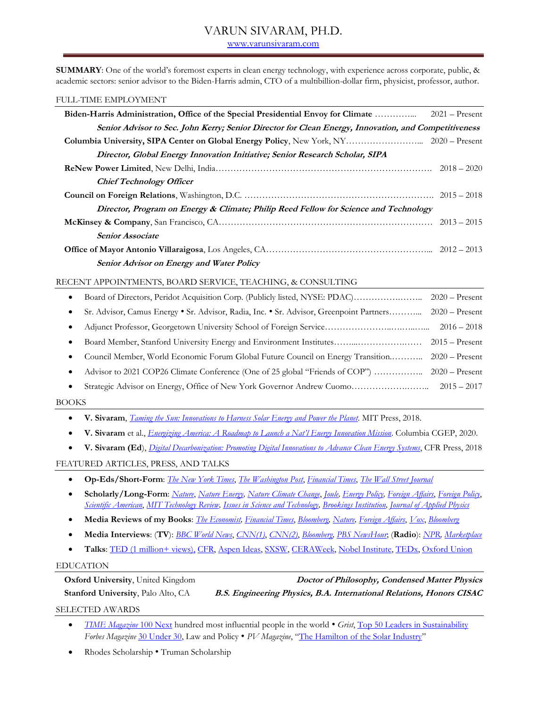# VARUN SIVARAM, PH.D.

[www.varunsivaram.com](http://www.varunsivaram.com/)

**SUMMARY**: One of the world's foremost experts in clean energy technology, with experience across corporate, public, & academic sectors: senior advisor to the Biden-Harris admin, CTO of a multibillion-dollar firm, physicist, professor, author.

#### FULL-TIME EMPLOYMENT

| Senior Advisor to Sec. John Kerry; Senior Director for Clean Energy, Innovation, and Competitiveness |  |
|------------------------------------------------------------------------------------------------------|--|
|                                                                                                      |  |
| Director, Global Energy Innovation Initiative; Senior Research Scholar, SIPA                         |  |
|                                                                                                      |  |
| <b>Chief Technology Officer</b>                                                                      |  |
|                                                                                                      |  |
| Director, Program on Energy & Climate; Philip Reed Fellow for Science and Technology                 |  |
|                                                                                                      |  |
| <b>Senior Associate</b>                                                                              |  |
|                                                                                                      |  |
| Senior Advisor on Energy and Water Policy                                                            |  |
| RECENT APPOINTMENTS, BOARD SERVICE, TEACHING, & CONSULTING                                           |  |

|           | Board of Directors, Peridot Acquisition Corp. (Publicly listed, NYSE: PDAC)             | $2020 -$ Present |
|-----------|-----------------------------------------------------------------------------------------|------------------|
|           | Sr. Advisor, Camus Energy • Sr. Advisor, Radia, Inc. • Sr. Advisor, Greenpoint Partners | $2020 -$ Present |
|           |                                                                                         | $2016 - 2018$    |
|           |                                                                                         |                  |
| ٠         | Council Member, World Economic Forum Global Future Council on Energy Transition         | $2020 -$ Present |
| $\bullet$ | Advisor to 2021 COP26 Climate Conference (One of 25 global "Friends of COP")            | $2020 -$ Present |
| ٠         | Strategic Advisor on Energy, Office of New York Governor Andrew Cuomo                   | $2015 - 2017$    |

#### BOOKS

- **V. Sivaram**, *[Taming the Sun: Innovations to Harness Solar Energy and Power](https://www.amazon.com/Taming-Sun-Innovations-Harness-Energy/dp/0262037688/) the Planet*. MIT Press, 2018.
- **V. Sivaram** et al., *Energizing Americ[a: A Roadmap to Launch a Nat'](https://www.amazon.com/Energizing-America-Roadmap-National-Innovation/dp/0578758520/ref=sr_1_1?dchild=1&keywords=energizing+america&qid=1600044999&sr=8-1)l Energy Innovation Mission*. Columbia CGEP, 2020.
- **V. Sivaram (Ed**), *[Digital Decarbonization: Promoting Digital Innovations to Advance Clean Energy Systems](https://www.amazon.com/Digital-Decarbonization-Promoting-Innovations-Advance-ebook/dp/B07DQTRZNQ)*, CFR Press, 2018

### FEATURED ARTICLES, PRESS, AND TALKS

- **Op-Eds/Short-Form**: *[The New York Times](https://www.nytimes.com/2018/01/24/opinion/tariffs-us-solar-clean-energy.html)*, *[The Washington Post](https://www.washingtonpost.com/news/theworldpost/wp/2018/04/16/solar/?utm_term=.04df933dfdd6)*, *[Financial Times](https://www.ft.com/content/917de65a-4500-11e6-9b66-0712b3873ae1)*, *[The Wall Street Journal](https://www.wsj.com/articles/why-venture-capitalists-abandoned-clean-energy-1473818402)*
- **Scholarly/Long-Form**: *[Nature](http://dx.doi.org/10.1038/nature11936)*, *[Nature Energy,](http://www.nature.com/articles/nenergy201636) [Nature Climate Change](http://dx.doi.org/10.1038/nclimate1985)*, *[Joule,](https://www.sciencedirect.com/science/article/pii/S2542435118303362) [Energy Policy,](http://www.sciencedirect.com/science/article/pii/S0301421516306991) [Foreign Affairs](https://www.foreignaffairs.com/articles/united-states/2016-04-18/clean-energy-revolutionhttps:/www.foreignaffairs.com/articles/united-states/2016-04-18/clean-energy-revolution)*, *[Foreign Policy](http://foreignpolicy.com/2018/03/01/cant-stop-the-shining/)*, *[Scientific American](http://www.cfr.org/global/perovskite-solar-cells-could-beat-efficiency-silicon/p36734)*, *[MIT Technology Review,](https://www.technologyreview.com/s/610177/the-race-to-invent-the-artificial-leaf/) [Issues in Science and Technology,](http://www.cfr.org/energy-and-environment/unlocking-clean-energy/p38632) [Brookings Institution,](https://www.brookings.edu/research/the-dark-side-of-solar/) [Journal of Applied Physics](https://aip.scitation.org/doi/abs/10.1063/1.4789966)*
- **Media Reviews of my Books**: *[The Economist,](https://www.economist.com/news/books-and-arts/21739640-bright-some-clouds-says-varun-sivaram-taming-sun-future-solar) [Financial Times](https://www.ft.com/content/9ee0f136-1c8e-11e8-aaca-4574d7dabfb6)*, *[Bloomberg,](https://www.bloomberg.com/view/articles/2018-01-02/solar-s-bright-future-is-further-away-than-it-seems) [Nature,](https://www.nature.com/articles/d41586-018-03273-7) [Foreign Affairs](https://www.foreignaffairs.com/reviews/capsule-review/2018-04-16/taming-sun-innovations-harness-solar-energy-and-power-planet)*, *[Vox](https://www.vox.com/energy-and-environment/21426920/climate-change-renewable-energy-solar-wind-innovation-green-new-deal?utm_campaign=drvox&utm_content=chorus&utm_medium=social&utm_source=twitter)*, *[Bloomberg](https://www.bloomberg.com/news/articles/2020-10-05/this-is-how-the-government-can-ramp-up-climate-tech-investment)*
- **Media Interviews**: (**TV**): *[BBC World News](https://www.youtube.com/watch?v=hGTpFGpzxcM)*, *[CNN\(1\)](https://twitter.com/vsiv/status/1283761451090481154)*, *[CNN\(](https://twitter.com/vsiv/status/1148217461545639937)2)*, *[Bloomberg,](https://www.youtube.com/watch?v=46egv-v7200&feature=youtu.be) [PBS NewsHour](https://www.pbs.org/newshour/show/in-remote-kenyan-villages-solar-startups-bring-light)*; (**Radio**): *[NPR,](http://ualrpublicradio.org/post/china-poised-fill-leadership-void-climate-policy-economic-incentives#stream/0) [Marketplace](http://www.marketplace.org/shows/marketplace-tech/marketplace-tech-monday-june-6-2016?WT.mc_id=e9439b30d9e5becd9976200b7bc8a737)*
- **Talks**: TED [\(1 million+ views\),](https://www.ted.com/talks/varun_sivaram_india_s_historic_opportunity_to_industrialize_using_clean_energy?language=en) [CFR,](file:///C:/Users/sirsi/Google%20Drive/Resume/youtube.com/watch%3fv=nTFqKHKWc20&feature=youtu.be) [Aspen Ideas,](https://www.youtube.com/watch?time_continue=1001&v=VP0FPAGMJiI) [SXSW,](https://schedule.sxsw.com/2018/events/PP73476) [CERAWeek,](https://ondemand.ceraweek.com/2018/detail/video/5748483084001/voices-of-innovation-with-varun-sivaram-3.12min) [Nobel Institute,](https://www.youtube.com/watch?v=yX5oSmPG1cM) [TEDx,](https://www.youtube.com/watch?v=AV5R7JO-vOc) [Oxford Union](http://www.youtube.com/watch?v=9ipY_jcgGFI)

### EDUCATION

| <b>Oxford University, United Kingdom</b>  | Doctor of Philosophy, Condensed Matter Physics                       |
|-------------------------------------------|----------------------------------------------------------------------|
| <b>Stanford University, Palo Alto, CA</b> | B.S. Engineering Physics, B.A. International Relations, Honors CISAC |
| SELECTED AWARDS                           |                                                                      |

 *[TIME Magazine](https://time.com/collection/time-100-next-2019/5718879/varun-sivaram/)* 100 Next hundred most influential people in the world • *Grist*, [Top 50 Leaders in Sustainability](http://grist.org/grist-50/profile/varun-sivaram/) *Forbes Magazine* [30 Under 30,](http://www.forbes.com/profile/varun-sivaram/) Law and Policy • *PV Magazine*, "[The Hamilton of the Solar Industry](https://pv-magazine-usa.com/2017/08/01/varun-sivaram-the-hamilton-of-the-solar-industry/)"

Rhodes Scholarship • Truman Scholarship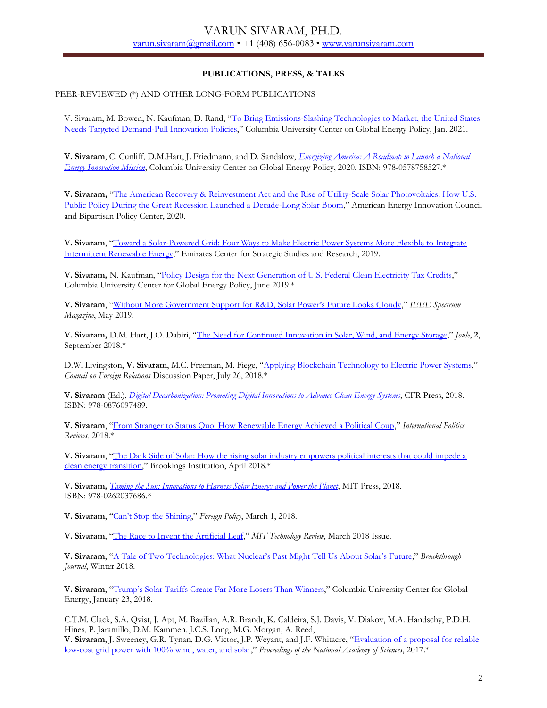## **PUBLICATIONS, PRESS, & TALKS**

## PEER-REVIEWED (\*) AND OTHER LONG-FORM PUBLICATIONS

V. Sivaram, M. Bowen, N. Kaufman, D. Rand, "To Bring Emissions-Slashing Technologies to Market, the United States [Needs Targeted Demand-Pull Innovation Policies](https://www.energypolicy.columbia.edu/research/commentary/bring-emissions-slashing-technologies-market-united-states-needs-targeted-demand-pull-innovation)," Columbia University Center on Global Energy Policy, Jan. 2021.

**V. Sivaram**, C. Cunliff, D.M.Hart, J. Friedmann, and D. Sandalow, *[Energizing America: A Roadmap to Launch a National](https://www.amazon.com/Energizing-America-Roadmap-National-Innovation/dp/0578758520/ref=sr_1_1?dchild=1&keywords=energizing+america&qid=1600044999&sr=8-1)  [Energy Innovation Mission](https://www.amazon.com/Energizing-America-Roadmap-National-Innovation/dp/0578758520/ref=sr_1_1?dchild=1&keywords=energizing+america&qid=1600044999&sr=8-1)*, Columbia University Center on Global Energy Policy, 2020. ISBN: 978-0578758527.\*

**V. Sivaram,** "[The American Recovery & Reinvestment Act and the Rise of Utility-Scale Solar Photovoltaics: How U.S.](http://americanenergyinnovation.org/wp-content/uploads/2020/06/The-Successful-Demonstration-of-Utility-Scale-PV.pdf)  [Public Policy During the Great Recession Launched a Decade-Long Solar Boom](http://americanenergyinnovation.org/wp-content/uploads/2020/06/The-Successful-Demonstration-of-Utility-Scale-PV.pdf)," American Energy Innovation Council and Bipartisan Policy Center, 2020.

**V. Sivaram**, "[Toward a Solar-Powered Grid: Four Ways to Make Electric Power Systems More Flexible to Integrate](https://www.ecssr.ae/en/publication/toward-a-solar-powered-grid-four-ways-to-make-electric-power-systems-more-flexible-to-integrate-intermittent-renewable-energy/)  [Intermittent Renewable Energy](https://www.ecssr.ae/en/publication/toward-a-solar-powered-grid-four-ways-to-make-electric-power-systems-more-flexible-to-integrate-intermittent-renewable-energy/)," Emirates Center for Strategic Studies and Research, 2019.

**V. Sivaram,** N. Kaufman, "[Policy Design for the Next Generation of U.S. Federal Clean Electricity Tax Credits](https://energypolicy.columbia.edu/research/commentary/next-generation-federal-clean-electricity-tax-credits)," Columbia University Center for Global Energy Policy, June 2019.\*

**V. Sivaram**, ["Without More Government Support for R&D, Solar Power's Future Looks Cloudy,"](file:///C:/Users/sirsi/Google%20Drive/Resume/Without%20More%20Government%20Support%20for%20R&D,%20Solar%20Power’s%20Future%20Looks%20Cloudy) *IEEE Spectrum Magazine*, May 2019.

**V. Sivaram,** D.M. Hart, J.O. Dabiri, "[The Need for Continued Innovation in Solar, Wind, and Energy Storage](https://www.sciencedirect.com/science/article/pii/S2542435118303362)," *Joule*, **2**, September 2018.\*

D.W. Livingston, **V. Sivaram**, M.C. Freeman, M. Fiege, "[Applying Blockchain Technology to Electric Power Systems](https://www.cfr.org/report/applying-blockchain-technology-electric-power-systems)," *Council on Foreign Relations* Discussion Paper, July 26, 2018.\*

**V. Sivaram** (Ed.), *[Digital Decarbonization: Promoting Digital Innovations to Advance Clean Energy Systems](https://www.amazon.com/Digital-Decarbonization-Promoting-Innovations-Advance-ebook/dp/B07DQTRZNQ/ref=sr_1_1?crid=3IS32RAARFX3B&dchild=1&keywords=digital+decarbonization&qid=1605135445&sprefix=digital+decar%2Cstripbooks%2C135&sr=8-1)*, CFR Press, 2018. ISBN: 978-0876097489.

**V. Sivaram**, "[From Stranger to Status Quo: How Renewable Energy Achieved a Political Coup](https://link.springer.com/article/10.1057%2Fs41312-018-0046-8)," *International Politics Reviews*, 2018.\*

**V. Sivaram**, "[The Dark Side of Solar: How the rising solar industry empowers political interests that could impede a](https://www.brookings.edu/research/the-dark-side-of-solar/)  [clean energy transition](https://www.brookings.edu/research/the-dark-side-of-solar/)," Brookings Institution, April 2018.\*

**V. Sivaram,** *[Taming the Sun: Innovations to Harness Solar Energy and Power the Planet](https://www.amazon.com/Taming-Sun-Innovations-Harness-Energy/dp/0262037688)*, MIT Press, 2018. ISBN: 978-0262037686.\*

**V. Sivaram**, ["Can't Stop the Shining,"](http://foreignpolicy.com/2018/03/01/cant-stop-the-shining/) *Foreign Policy*, March 1, 2018.

**V. Sivaram**, "[The Race to Invent the Artificial Leaf](https://www.technologyreview.com/s/610177/the-race-to-invent-the-artificial-leaf/)," *MIT Technology Review*, March 2018 Issue.

**V. Sivaram**, ["A Tale of Two Technologies: What Nuclear's Past Might Tell Us About Solar's Future,"](https://thebreakthrough.org/index.php/journal/no.-8-winter-2018/a-tale-of-two-technologies) *Breakthrough Journal*, Winter 2018.

**V. Sivaram**, ["Trump's Solar Tariffs Create Far More](http://energypolicy.columbia.edu/research/commentary/trumps-solar-tariffs-create-far-more-losers-winners) Losers Than Winners," Columbia University Center for Global Energy, January 23, 2018.

C.T.M. Clack, S.A. Qvist, J. Apt, M. Bazilian, A.R. Brandt, K. Caldeira, S.J. Davis, V. Diakov, M.A. Handschy, P.D.H. Hines, P. Jaramillo, D.M. Kammen, J.C.S. Long, M.G. Morgan, A. Reed,

**V. Sivaram**, J. Sweeney, G.R. Tynan, D.G. Victor, J.P. Weyant, and J.F. Whitacre, "[Evaluation of a proposal for reliable](http://dx.doi.org/10.1073/pnas.1610381114)  [low-cost grid power with 100% wind, water, and solar](http://dx.doi.org/10.1073/pnas.1610381114)," *Proceedings of the National Academy of Sciences*, 2017.\*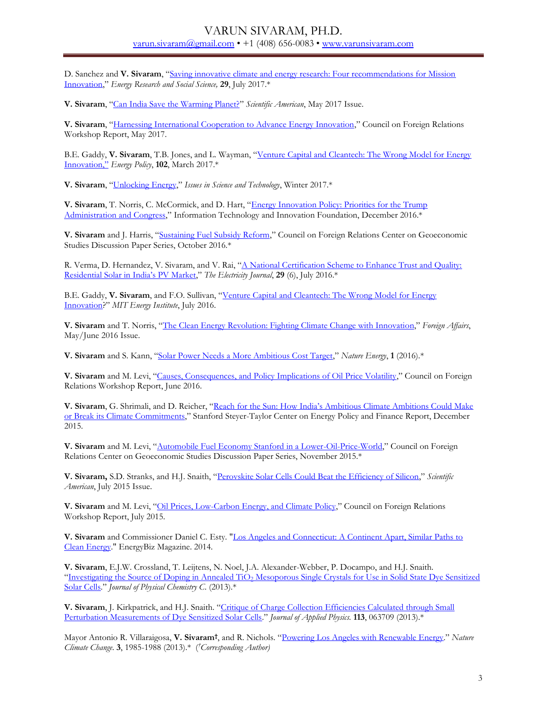## VARUN SIVARAM, PH.D. [varun.sivaram@gmail.com](mailto:varun.sivaram@gmail.com•) • +1 (408) 656-0083 • [www.varunsivaram.com](file:///C:/Users/sirsi/Google%20Drive/Resume/www.varunsivaram.com)

D. Sanchez and **V. Sivaram**, "[Saving innovative climate and energy research: Four recommendations for Mission](http://www.sciencedirect.com/science/article/pii/S2214629617301421)  [Innovation](http://www.sciencedirect.com/science/article/pii/S2214629617301421)," *Energy Research and Social Science,* **29**, July 2017.\*

**V. Sivaram**, "[Can India Save the Warming Planet?](https://www.scientificamerican.com/article/can-india-save-the-warming-planet/)" *Scientific American*, May 2017 Issue.

**V. Sivaram**, "[Harnessing International Cooperation to Advance Energy Innovation](https://www.cfr.org/report/harnessing-international-cooperation-advance-energy-innovation)," Council on Foreign Relations Workshop Report, May 2017.

B.E. Gaddy, **V. Sivaram**, T.B. Jones, and L. Wayman, "[Venture Capital and Cleantech: The Wrong Model for Energy](http://www.sciencedirect.com/science/article/pii/S0301421516306991)  [Innovation,"](http://www.sciencedirect.com/science/article/pii/S0301421516306991) *Energy Policy*, **102**, March 2017.\*

**V. Sivaram**, "[Unlocking Energy](http://www.cfr.org/energy-and-environment/unlocking-clean-energy/p38632)," *Issues in Science and Technology*, Winter 2017.\*

**V. Sivaram**, T. Norris, C. McCormick, and D. Hart, "[Energy Innovation Policy: Priorities for the Trump](https://itif.org/publications/2016/12/13/energy-innovation-policy-priorities-trump-administration-and-congress) [Administration and Congress](https://itif.org/publications/2016/12/13/energy-innovation-policy-priorities-trump-administration-and-congress)," Information Technology and Innovation Foundation, December 2016.\*

**V. Sivaram** and J. Harris, "[Sustaining Fuel Subsidy Reform](http://www.cfr.org/energy-policy/sustaining-fuel-subsidy-reform/p38366)," Council on Foreign Relations Center on Geoeconomic Studies Discussion Paper Series, October 2016.\*

R. Verma, D. Hernandez, V. Sivaram, and V. Rai, "A National Certification Scheme to Enhance Trust and Quality: [Residential Solar in India's PV Market,"](http://www.sciencedirect.com/science/article/pii/S1040619016301051) *The Electricity Journal*, **29** (6), July 2016.\*

B.E. Gaddy, **V. Sivaram**, and F.O. Sullivan, "[Venture Capital and Cleantech: The Wrong Model for Energy](http://energy.mit.edu/publication/venture-capital-cleantech/)  [Innovation](http://energy.mit.edu/publication/venture-capital-cleantech/)?" *MIT Energy Institute*, July 2016.

**V. Sivaram** and T. Norris, "[The Clean Energy Revolution: Fighting Climate Change with Innovation](https://www.foreignaffairs.com/articles/united-states/2016-04-18/clean-energy-revolutionhttps:/www.foreignaffairs.com/articles/united-states/2016-04-18/clean-energy-revolution)," *Foreign Affairs*, May/June 2016 Issue.

**V. Sivaram** and S. Kann, "[Solar Power Needs a More Ambitious Cost Target](http://www.nature.com/articles/nenergy201636)," *Nature Energy*, **1** (2016).\*

**V. Sivaram** and M. Levi, "[Causes, Consequences, and Policy Implications of Oil Price Volatility](http://www.cfr.org/global/oil-price-volatility-causes-effects-policy-implications/p37946)," Council on Foreign Relations Workshop Report, June 2016.

**V. Sivaram**, G. Shrimali, and D. Reicher, ["Reach for the Sun: How India's Ambitious Climate Ambitions Could Make](https://law.stanford.edu/reach-for-the-sun-how-indias-audacious-solar-ambitions-could-make-or-break-its-climate-commitments/)  [or Break its Climate Commitments](https://law.stanford.edu/reach-for-the-sun-how-indias-audacious-solar-ambitions-could-make-or-break-its-climate-commitments/)," Stanford Steyer-Taylor Center on Energy Policy and Finance Report, December 2015.

**V. Sivaram** and M. Levi, "[Automobile Fuel Economy Stanford in a Lower-Oil-Price-World](http://www.cfr.org/energy-policy/automobile-fuel-economy-standards-lower-oil-price-world/p37190)," Council on Foreign Relations Center on Geoeconomic Studies Discussion Paper Series, November 2015.\*

**V. Sivaram,** S.D. Stranks, and H.J. Snaith, "[Perovskite Solar Cells Could Beat the Efficiency of Silicon](https://www.scientificamerican.com/article/perovskite-solar-cells-could-beat-the-efficiency-of-silicon/)," *Scientific American*, July 2015 Issue.

**V. Sivaram** and M. Levi, "[Oil Prices, Low-Carbon Energy, and Climate Policy](http://www.cfr.org/energy-and-environment/oil-prices-low-carbon-energy-climate-policy/p36744)," Council on Foreign Relations Workshop Report, July 2015.

**V. Sivaram** and Commissioner Daniel C. Esty. ["Los Angeles and Connecticut: A Continent Apart, Similar Paths to](http://energycentral.fileburstcdn.com/EnergyBizMagazine/2014/JanFeb14.pdf)  [Clean Energy."](http://energycentral.fileburstcdn.com/EnergyBizMagazine/2014/JanFeb14.pdf) EnergyBiz Magazine. 2014.

**V. Sivaram**, E.J.W. Crossland, T. Leijtens, N. Noel, J.A. Alexander-Webber, P. Docampo, and H.J. Snaith. "Investigating the Source of Doping in Annealed TiO<sub>2</sub> Mesoporous Single Crystals for Use in Solid State Dye Sensitized [Solar Cells](http://dx.doi.org/10.1021/jp410495k)." *Journal of Physical Chemistry C*. (2013).\*

**V. Sivaram**, J. Kirkpatrick, and H.J. Snaith. "[Critique of Charge Collection Efficiencies Calculated through Small](http://dx.doi.org/10.1063/1.4789966.)  [Perturbation Measurements of Dye Sensitized Solar Cells](http://dx.doi.org/10.1063/1.4789966.)." *Journal of Applied Physics.* **113**, 063709 (2013).\*

Mayor Antonio R. Villaraigosa, **V. Sivaram†** , and R. Nichols. "[Powering Los Angeles with Renewable Energy](http://dx.doi.org/10.1038/nclimate1985)." *Nature Climate Change*. **3**, 1985-1988 (2013).\* (*†Corresponding Author)*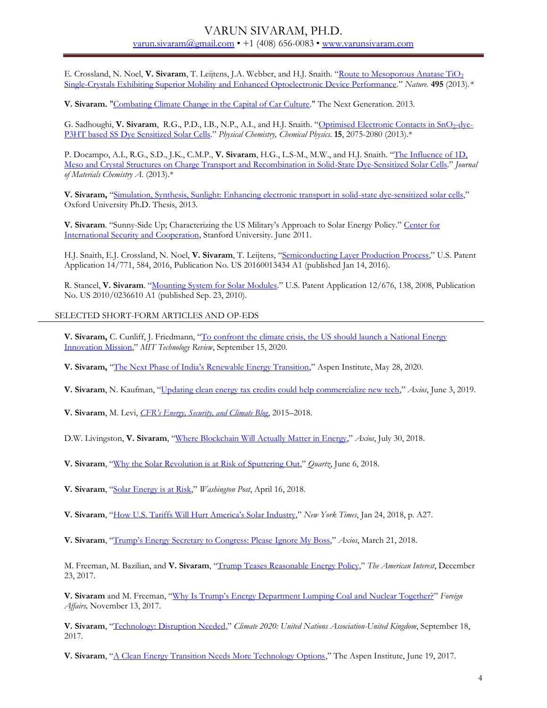E. Crossland, N. Noel, **V. Sivaram**, T. Leijtens, J.A. Webber, and H.J. Snaith. "[Route to Mesoporous Anatase TiO](http://dx.doi.org/10.1038/nature11936)<sup>2</sup> [Single-Crystals Exhibiting Superior Mobility and Enhanced Optoelectronic Device Performance](http://dx.doi.org/10.1038/nature11936)." *Nature.* **495** (2013)*.\** 

**V. Sivaram.** ["Combating Climate Change in the Capital of Car Culture.](http://thenextgeneration.org/files/LA_Transportation.pdf)" The Next Generation. 2013.

G. Sadhoughi, V. Sivaram, R.G., P.D., I.B., N.P., A.I., and H.J. Snaith. "[Optimised Electronic](http://dx.doi.org/10.1039/C2CP43434B) Contacts in SnO<sub>2</sub>-dye-[P3HT based SS Dye Sensitized Solar Cells](http://dx.doi.org/10.1039/C2CP43434B)." *Physical Chemistry, Chemical Physics*. **15**, 2075-2080 (2013).\*

P. Docampo, A.I., R.G., S.D., J.K., C.M.P., **V. Sivaram**, H.G., L.S-M., M.W., and H.J. Snaith. "[The Influence of 1D,](http://dx.doi.org/10.1039/c3ta1185j)  [Meso and Crystal Structures on Charge Transport and Recombination in Solid-State Dye-Sensitized Solar Cells](http://dx.doi.org/10.1039/c3ta1185j)." *Journal of Materials Chemistry A*. (2013).\*

**V. Sivaram,** "[Simulation, Synthesis, Sunlight: Enhancing electronic transport in solid-state dye-sensitized solar cells](http://ora.ox.ac.uk/objects/uuid:0824a954-e9a9-4f14-a6b4-675652d01d4e)," Oxford University Ph.D. Thesis, 2013.

V. Sivaram. "Sunny-Side Up; Characterizing the US Military's Approach to Solar Energy Policy." Center for [International Security and Cooperation,](http://purl.stanford.edu/qz062rv5267) Stanford University. June 2011.

H.J. Snaith, E.J. Crossland, N. Noel, **V. Sivaram**, T. Leijtens, "[Semiconducting Layer Production Process](http://www.google.com/patents/US20160013434?cl=en)," U.S. Patent Application 14/771, 584, 2016, Publication No. US 20160013434 A1 (published Jan 14, 2016).

R. Stancel, **V. Sivaram**. "[Mounting System for Solar Modules](http://patentscope.wipo.int/search/en/WO2009032862)." U.S. Patent Application 12/676, 138, 2008, Publication No. US 2010/0236610 A1 (published Sep. 23, 2010).

#### SELECTED SHORT-FORM ARTICLES AND OP-EDS

**V. Sivaram,** C. Cunliff, J. Friedmann, "[To confront the climate crisis, the US should launch a National Energy](https://www.technologyreview.com/2020/09/15/1008406/climate-crisis-energy-innovation-mission-us-election-tech-policy-opinion/)  [Innovation Mission](https://www.technologyreview.com/2020/09/15/1008406/climate-crisis-energy-innovation-mission-us-election-tech-policy-opinion/)," *MIT Technology Review*, September 15, 2020.

**V. Sivaram,** ["The Next Phase of India's Renewable Energy Transition,](https://www.aspeninstitute.org/blog-posts/the-next-phase-of-indias-renewable-energy-transition/)" Aspen Institute, May 28, 2020.

**V. Sivaram**, N. Kaufman, "[Updating clean energy tax credits could help commercialize new tech](https://www.axios.com/updating-clean-energy-tax-credits-could-help-commercialize-new-tech-de64758c-af4c-4b7d-b221-d8397711027c.html)," *Axios*, June 3, 2019.

**V. Sivaram**, M. Levi, *[CFR's Energy, Security, and Climate Blog](https://www.cfr.org/blog/energy-security-and-climate)*, 2015–2018.

D.W. Livingston, **V. Sivaram**, "[Where Blockchain Will Actually Matter in Energy](https://www.axios.com/in-energy-sector-incremental-blockchain-ventures-may-have-largest-impact-ed060501-e28c-440b-9788-f101b33cbba3.html)," *Axios*, July 30, 2018.

**V. Sivaram**, "[Why the Solar Revolution is at Risk of Sputtering Out](https://qz.com/1295679/why-the-solar-revolution-is-in-grave-danger-and-how-it-can-be-saved/)," *Quartz*, June 6, 2018.

**V. Sivaram**, "[Solar Energy is at Risk](https://www.washingtonpost.com/news/theworldpost/wp/2018/04/16/solar/)," *Washington Post*, April 16, 2018.

**V. Sivaram**, "How U.S. Tariffs W[ill Hurt America's Solar Industry,](file:///C:/Users/VSivaram/Google%20Drive/CFR/nytimes.com/2018/01/24/opinion/tariffs-us-solar-clean-energy.html)" *New York Times*, Jan 24, 2018, p. A27.

**V. Sivaram**, ["Trump's Energy Secretary to Congress: Please](https://www.axios.com/perry-to-congress-ignore-my-boss-1521590526-2e7f6eca-814b-4739-bf5a-d2090824573d.html) Ignore My Boss," *Axios*, March 21, 2018.

M. Freeman, M. Bazilian, and **V. Sivaram**, "[Trump Teases Reasonable Energy Policy](https://www.the-american-interest.com/2017/12/23/trump-teases-reasonable-energy-policy/)," *The American Interest*, December 23, 2017.

**V. Sivaram** and M. Freeman, ["Why Is Trump's Energy Department Lumping Coal and Nuclear Together?"](https://www.foreignaffairs.com/articles/united-states/2017-11-13/why-trumps-energy-department-lumping-coal-and-nuclear-together) *Foreign Affairs,* November 13, 2017.

**V. Sivaram**, "[Technology: Disruption Needed](http://www.climate2020.org.uk/technology-disruption-needed/)," *Climate 2020: United Nations Association-United Kingdom*, September 18, 2017.

**V. Sivaram**, "[A Clean Energy Transition Needs More Technology Options](https://www.aspeninstitute.org/blog-posts/clean-energy-transition-needs-technology-options/)," The Aspen Institute, June 19, 2017.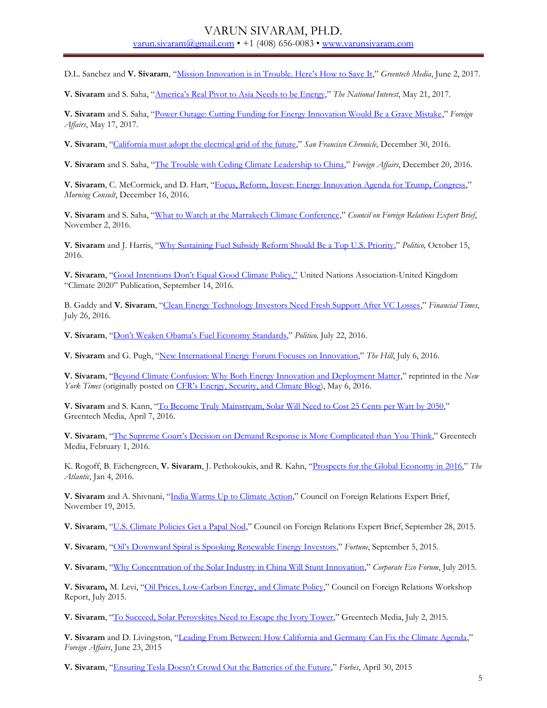D.L. Sanchez and **V. Sivaram**, ["Mission Innovation is in Trouble. Here's How to Save It,](https://www.greentechmedia.com/articles/read/mission-innovation-is-in-trouble.-heres-how-to-save-it)" *Greentech Media*, June 2, 2017*.*

**V. Sivaram** and S. Saha, ["America's Real Pivot to Asia Needs to be Energy,](http://nationalinterest.org/feature/americas-real-pivot-asia-needs-be-energy-20770?page=2)" *The National Interest*, May 21, 2017.

**V. Sivaram** and S. Saha, "[Power Outage: Cutting Funding for Energy Innovation Would Be a Grave Mistake](https://www.foreignaffairs.com/articles/united-states/2017-05-17/power-outage)," *Foreign Affairs*, May 17, 2017.

**V. Sivaram**, "[California must adopt the electrical grid of the future](http://www.sfchronicle.com/opinion/article/California-must-adopt-the-electrical-grid-of-the-10827713.php)," *San Francisco Chronicle,* December 30, 2016.

**V. Sivaram** and S. Saha, "[The Trouble with Ceding Climate Leadership to China](https://www.foreignaffairs.com/articles/united-states/2016-12-20/trouble-ceding-climate-leadership-china)," *Foreign Affairs*, December 20, 2016.

**V. Sivaram**, C. McCormick, and D. Hart, "[Focus, Reform, Invest: Energy Innovation Agenda for Trump, Congress](https://morningconsult.com/opinions/focus-reform-invest-energy-innovation-agenda-trump-administration-115th-congress/)," *Morning Consult*, December 16, 2016.

**V. Sivaram** and S. Saha, "[What to Watch at the Marrakech Climate Conference](https://www.cfr.org/expert-brief/what-watch-climate-conference-marrakech)," *Council on Foreign Relations Expert Brief*, November 2, 2016.

**V. Sivaram** and J. Harris, "[Why Sustaining Fuel Subsidy Reform Should Be a Top U.S. Priority](http://www.politico.com/agenda/story/2016/10/ending-global-fuel-subsidies-priority-000223)," *Politico,* October 15, 2016.

**V. Sivaram**, ["Good Intentions Don't Equal Good Climate Policy,"](http://www.climate2020.org.uk/good-intentions-dont-equal-good-climate-policy/) United Nations Association-United Kingdom "Climate 2020" Publication, September 14, 2016.

B. Gaddy and **V. Sivaram**, "[Clean Energy Technology Investors Need Fresh Support After VC Losses](https://www.ft.com/content/917de65a-4500-11e6-9b66-0712b3873ae1)," *Financial Times*, July 26, 2016.

**V. Sivaram**, "Don't Weaken Obama's [Fuel Economy Standards](http://www.politico.com/agenda/story/2016/07/dont-weaken-obamas-fuel-standards-000173)," *Politico,* July 22, 2016.

**V. Sivaram** and G. Pugh, "[New International Energy Forum Focuses on Innovation](http://thehill.com/blogs/pundits-blog/energy-environment/286584-new-international-energy-forum-focuses-on-innovation)," The Hill, July 6, 2016.

**V. Sivaram**, "[Beyond Climate Confusion: Why Both Energy Innovation and Deployment Matter](http://dotearth.blogs.nytimes.com/2016/05/06/young-analysts-press-the-case-for-innovation-and-tolerance-in-pursuing-a-post-carbon-energy-menu/?smid=tw-share&_r=1&mtrref=undefined&gwh=778A88C8A50635A5ACFC52869A89B7BF&gwt=pay&assetType=opinion)," reprinted in the *New York Times* (originally posted on [CFR's Energy, Security, and Climate Blog](http://blogs.cfr.org/levi/2016/05/04/beyond-climate-confusion-why-both-energy-innovation-and-deployment-matter/?version=meter+at+null&module=meter-Links&pgtype=Blogs&contentId=&mediaId=&referrer=&priority=true&action=click&contentCollection=meter-links-click)), May 6, 2016.

**V. Sivaram** and S. Kann, "[To Become Truly Mainstream, Solar Will Need to Cost 25 Cents per Watt](file:///C:/Users/VSivaram/Downloads/To%20Become%20Truly%20Mainstream,%20Solar%20Will%20Need%20to%20Cost%2025%20Cents%20per%20Watt%20by%202050) by 2050," Greentech Media, April 7, 2016.

**V. Sivaram**, ["The Supreme Court's Decision on Demand Response is More Complicated than](http://www.greentechmedia.com/articles/read/the-supreme-court-just-clarified-rules-for-modern-power-regulation) You Think," Greentech Media, February 1, 2016.

K. Rogoff, B. Eichengreen, **V. Sivaram**, J. Pethokoukis, and R. Kahn, "[Prospects for the Global Economy in 2016](http://www.theatlantic.com/international/archive/2016/01/global-economy-2016/422475/)," *The Atlantic*, Jan 4, 2016.

**V. Sivaram** and A. Shivnani, "[India Warms Up to Climate Action](http://www.cfr.org/india/india-warms-up-climate-action/p37268)," Council on Foreign Relations Expert Brief, November 19, 2015.

**V. Sivaram**, "[U.S. Climate Policies Get a Papal Nod](http://www.cfr.org/climate-change/us-climate-policies-get-papal-nod/p37060)," Council on Foreign Relations Expert Brief, September 28, 2015.

**V. Sivaram**, ["Oil's Downward Spiral is Spooking Renewable Energy Investors,"](http://www.cfr.org/renewable-energy/oils-downward-spiral-spooking-renewable-energy-investors/p36991) *Fortune*, September 5, 2015.

**V. Sivaram**, "[Why Concentration of the Solar Industry in China Will Stunt Innovation](http://www.cfr.org/china/why-concentration-solar-industry-china-stunt-innovation/p36847)," *Corporate Eco Forum*, July 2015.

**V. Sivaram,** M. Levi, "[Oil Prices, Low-Carbon Energy, and Climate Policy](http://www.cfr.org/energy-and-environment/oil-prices-low-carbon-energy-climate-policy/p36744)," Council on Foreign Relations Workshop Report, July 2015.

**V. Sivaram**, "[To Succeed, Solar Perovskites Need to Escape the Ivory Tower](http://www.greentechmedia.com/articles/read/to-succeed-solar-perovskites-need-to-escape-the-ivory-tower)," Greentech Media, July 2, 2015.

**V. Sivaram** and D. Livingston, "[Leading From Between: How California and Germany Can Fix the Climate Agenda](http://www.cfr.org/environmental-policy/leading-between-california-germany-can-fix-climate-agenda/p36733)," *Foreign Affairs*, June 23, 2015

**V. Sivaram**, ["Ensuring Tesla Doesn't Crowd Out the Batteries](http://www.cfr.org/renewable-energy/ensuring-tesla-doesnt-crowd-out-batteries-future/p36492) of the Future," *Forbes*, April 30, 2015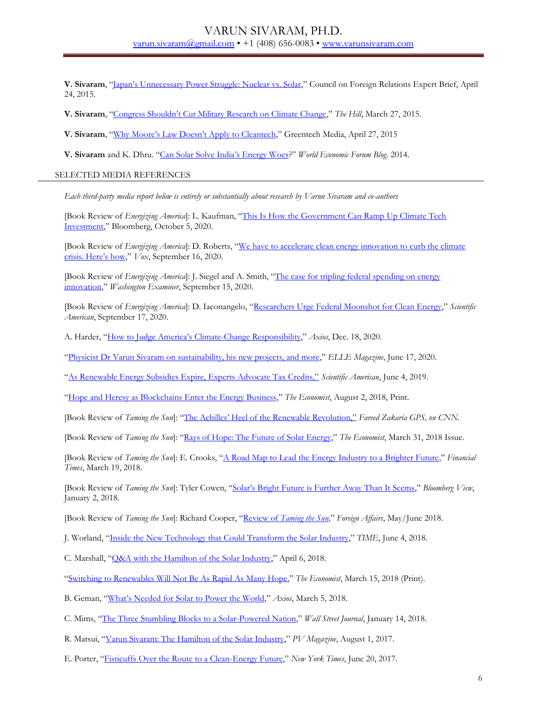**V. Sivaram**, ["Japan's Unnecessary Power Struggle: Nuclear vs. Solar,](http://www.cfr.org/japan/japans-unnecessary-power-struggle-nuclear-vs-solar/p36467)" Council on Foreign Relations Expert Brief, April 24, 2015.

**V. Sivaram**, ["Congress Shouldn't Cut Military Research on Climate Change,"](http://www.cfr.org/climate-change/congress-shouldnt-cut-military-research-climate-change/p36363) *The Hill*, March 27, 2015.

**V. Sivaram**, ["Why Moore's Law Doesn't Apply to Cleantec](http://www.greentechmedia.com/articles/read/why-moores-law-doesnt-apply-to-clean-technologies)h," Greentech Media, April 27, 2015

**V. Sivaram** and K. Dhru. ["Can Solar Solve India's Energy Woes?](http://forumblog.org/2014/09/three-ways-india-can-get-best-solar-power/)" *World Economic Forum Blog*. 2014.

#### SELECTED MEDIA REFERENCES

*Each third-party media report below is entirely or substantially about research by Varun Sivaram and co-authors*

[Book Review of *Energizing America*]: L. Kaufman, "[This Is How the Government Can Ramp Up Climate Tech](file:///C:/Users/sirsi/Google%20Drive/Resume/This%20Is%20How%20the%20Government%20Can%20Ramp%20Up%20Climate%20Tech%20Investment)  [Investment](file:///C:/Users/sirsi/Google%20Drive/Resume/This%20Is%20How%20the%20Government%20Can%20Ramp%20Up%20Climate%20Tech%20Investment)," Bloomberg, October 5, 2020.

[Book Review of *Energizing America*]: D. Roberts, "[We have to accelerate clean energy innovation to](https://www.vox.com/energy-and-environment/21426920/climate-change-renewable-energy-solar-wind-innovation-green-new-deal) curb the climate [crisis. Here's how,"](https://www.vox.com/energy-and-environment/21426920/climate-change-renewable-energy-solar-wind-innovation-green-new-deal) *Vox*, September 16, 2020.

[Book Review of *Energizing America*]: J. Siegel and A. Smith, "[The case for tripling federal spending on energy](https://www.washingtonexaminer.com/policy/energy/daily-on-energy-the-case-for-tripling-federal-spending-on-energy-innovation)  [innovation](https://www.washingtonexaminer.com/policy/energy/daily-on-energy-the-case-for-tripling-federal-spending-on-energy-innovation)," *Washington Examiner*, September 15, 2020.

[Book Review of *Energizing America*]: D. Iaconangelo, "[Researchers Urge Federal Moonshot for Clean Energy](https://www.scientificamerican.com/article/researchers-urge-federal-moonshot-for-clean-energy/)," *Scientific American*, September 17, 2020.

A. Harder, "How to [Judge America's Climate](https://www.axios.com/america-climate-change-responsibility-637751d3-4536-405d-a39b-d211ab741d21.html)-Change Responsibility," *Axios*, Dec. 18, 2020.

"[Physicist Dr Varun Sivaram on sustainability, his new projects, and more](https://elle.in/article/dr-varun-sivaram/)," *ELLE Magazine*, June 17, 2020.

["As Renewable Energy Subsidies Expire, Experts Advocate Tax Credits,"](https://www.scientificamerican.com/article/as-renewable-energy-subsidies-expire-experts-advocate-tax-credits/?redirect=1) *Scientific American*, June 4, 2019.

"[Hope and Heresy as Blockchains Enter the Energy Business](https://www.economist.com/business/2018/08/02/hope-hype-and-heresy-as-blockchains-enter-the-energy-business)," *The Economist*, August 2, 2018, Print.

[Book Review of *Taming the Sun*]: "The Achill[es' Heel of the Renewable Revolution,"](https://www.facebook.com/varun.sivaram/posts/10214886462689253?__xts__%5b0%5d=68.ARCbTU7QxGTiX0gU-X49OcInhTE1hs6nReJBnVfqNo216BFQn3vkHlByBFdqyrx4bg-jmbFFAzmm6zDjI2YsyT7gMlHxgDYKWWyk0_K2CpFFgeJ-NFiSwY0pyr3gISxxu0-AMmYlUuJ7&__tn__=-R) *Fareed Zakaria GPS, on CNN.*

[Book Review of *Taming the Sun*]: "[Rays of Hope: The Future of Solar Energy](https://www.economist.com/news/books-and-arts/21739640-bright-some-clouds-says-varun-sivaram-taming-sun-future-solar)," *The Economist*, March 31, 2018 Issue.

[Book Review of *Taming the Sun*]: E. Crooks, "[A Road Map to Lead the Energy Industry to a Brighter Future](https://www.ft.com/content/9ee0f136-1c8e-11e8-aaca-4574d7dabfb6)," *Financial Times*, March 19, 2018.

[Book Review of *Taming the Sun*]: Tyler Cowen, ["Solar's Bright Future is Further Away Than It Seems,"](https://www.bloomberg.com/view/articles/2018-01-02/solar-s-bright-future-is-further-away-than-it-seems) *Bloomberg View*, January 2, 2018.

[Book Review of *Taming the Sun*]: Richard Cooper, "Review of *[Taming the Sun,](https://www.foreignaffairs.com/reviews/capsule-review/2018-04-16/taming-sun-innovations-harness-solar-energy-and-power-planet)*" *Foreign Affairs*, May/June 2018.

J. Worland, "[Inside the New Technology that Could Transform the Solar Industry](http://time.com/5297011/solar-energy-perovskite-national-lab/)," *TIME*, June 4, 2018.

C. Marshall, "[Q&A with the Hamilton of the Solar Industry](https://www.eenews.net/greenwire/2018/04/06/stories/1060078375)," April 6, 2018.

"[Switching to Renewables Will Not Be As Rapid As Many Hope](https://www.economist.com/news/special-report/21738577-clean-energy-may-not-yet-have-reached-tipping-point-switching-renewables-will-not-be)," *The Economist*, March 15, 2018 (Print).

B. Geman, ["What's Needed for Sola](https://www.axios.com/how-solar-can-power-the-world-1520114389-45e35b7c-6e8e-453e-909c-b5030a28d873.html)r to Power the World," *Axios*, March 5, 2018.

C. Mims, "[The Three Stumbling Blocks to a Solar-Powered Nation](https://www.wsj.com/articles/the-three-stumbling-blocks-to-a-solar-powered-nation-1515931200)," *Wall Street Journal*, January 14, 2018.

R. Matsui, "[Varun Sivaram: The Hamilton of the Solar Industry](https://pv-magazine-usa.com/2017/08/01/varun-sivaram-the-hamilton-of-the-solar-industry/)," *PV Magazine*, August 1, 2017.

E. Porter, "[Fisticuffs Over the Route to a Clean-Energy Future](https://www.nytimes.com/2017/06/20/business/energy-environment/renewable-energy-national-academy-matt-jacobson.html)," *New York Times*, June 20, 2017.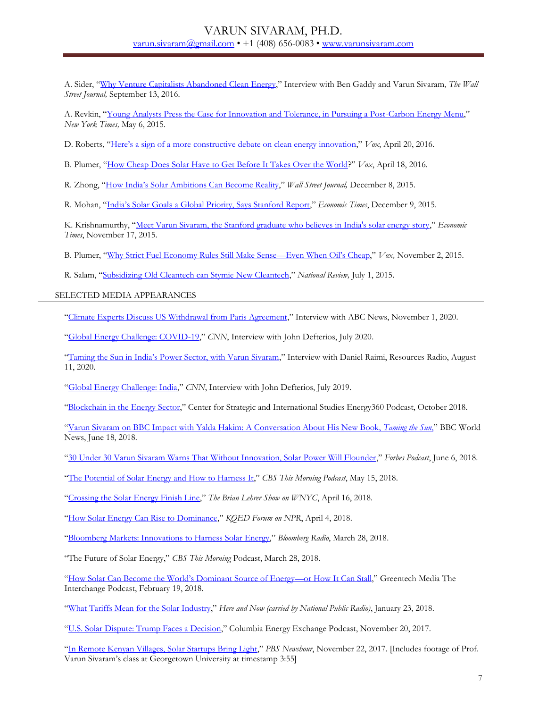A. Sider, "[Why Venture Capitalists Abandoned Clean Energy](http://www.wsj.com/articles/why-venture-capitalists-abandoned-clean-energy-1473818402)," Interview with Ben Gaddy and Varun Sivaram, *The Wall Street Journal,* September 13, 2016.

A. Revkin, "[Young Analysts Press the Case for Innovation and Tolerance, in Pursuing a Post-Carbon Energy Menu](http://dotearth.blogs.nytimes.com/2016/05/06/young-analysts-press-the-case-for-innovation-and-tolerance-in-pursuing-a-post-carbon-energy-menu/?smid=tw-share&_r=1&mtrref=undefined&gwh=778A88C8A50635A5ACFC52869A89B7BF&gwt=pay&assetType=opinion)," *New York Times,* May 6, 2015.

D. Roberts, "Here's a sign of a more [constructive debate on clean energy innovation](http://www.vox.com/2016/4/20/11461136/clean-energy-innovation-discussion)," *Vox*, April 20, 2016.

B. Plumer, "[How Cheap Does Solar Have to Get Before It Takes Over the World](http://www.vox.com/2016/4/18/11415510/solar-power-costs-innovation)?" *Vox*, April 18, 2016.

R. Zhong, ["How India's Solar Ambitions Can Become Reality,"](http://blogs.wsj.com/indiarealtime/2015/12/08/how-indias-solar-ambitions-can-become-reality/) *Wall Street Journal,* December 8, 2015.

R. Mohan, ["India's Solar Goals a Global Priority, Says Stanford Report,](http://articles.economictimes.indiatimes.com/2015-12-09/news/68899664_1_india-s-climate-change-prime-minister-narendra-modi)" *Economic Times*, December 9, 2015.

K. Krishnamurthy, "[Meet Varun Sivaram, the Stanford graduate who believes in India's solar energy story](http://articles.economictimes.indiatimes.com/2015-11-17/news/68356526_1_solar-industry-solar-energy-new-york-state)," *Economic Times*, November 17, 2015.

B. Plumer, "[Why Strict Fuel Economy Rules Still Make Sense](http://www.vox.com/2015/11/2/9658118/oil-prices-cafe-standards)—Even When Oil's Cheap," *Vox,* November 2, 2015.

R. Salam, "[Subsidizing Old Cleantech can Stymie New Cleantech](http://www.nationalreview.com/corner/420648/how-subsidizing-old-clean-tech-can-stymie-new-clean-tech-reihan-salam)," *National Review,* July 1, 2015.

SELECTED MEDIA APPEARANCES

"[Climate Experts Discuss US Withdrawal from Paris Agreement](https://abcnews.go.com/US/video/climate-experts-discuss-us-withdrawal-paris-agreement-73960487)," Interview with ABC News, November 1, 2020.

"[Global Energy Challenge: COVID-19](https://twitter.com/vsiv/status/1283761451090481154)," *CNN*, Interview with John Defterios, July 2020.

["Taming the Sun in India's Power Sector, with Varun Sivaram,"](https://www.resourcesmag.org/resources-radio/taming-the-sun-in-indias-power-sector-with-varun-sivaram/) Interview with Daniel Raimi, Resources Radio, August 11, 2020.

"[Global Energy Challenge: India](https://twitter.com/vsiv/status/1148217461545639937)," CNN, Interview with John Defterios, July 2019.

"[Blockchain in the Energy Sector](https://www.csis.org/podcasts/energy-360/blockchain-energy-sector-0)," Center for Strategic and International Studies Energy360 Podcast, October 2018.

"[Varun Sivaram on BBC Impact with Yalda Hakim: A Conversation About His New Book,](https://www.youtube.com/watch?v=p9u0DHLj6IQ&feature=youtu.be) *Taming the Sun*," BBC World News, June 18, 2018.

"[30 Under 30 Varun Sivaram Warns That Without Innovation, Solar Power Will Flounder](https://www.podcastone.com/episode/Varun-Sivaram-Warns-That-Solar-Energy-Without-Innovation-Will-Flounder)," *Forbes Podcast*, June 6, 2018.

"[The Potential of Solar Energy and How to Harness It](https://soundcloud.com/cbsthismorning/the-potential-of-solar-power-and-how-to-harness-it)," *CBS This Morning Podcast*, May 15, 2018.

"[Crossing the Solar Energy Finish Line](https://www.wnyc.org/story/crossing-solar-energy-finish-line/)," *The Brian Lehrer Show on WNYC*, April 16, 2018.

"[How Solar Energy Can Rise to Dominance](https://www.kqed.org/forum/2010101864612/varun-sivaram-on-how-solar-energy-can-rise-to-dominance)," *KQED Forum on NPR*, April 4, 2018.

"[Bloomberg Markets: Innovations to Harness Solar Energy](https://www.bloomberg.com/news/audio/2018-03-28/bloomberg-markets-innovations-to-harness-solar-energy)," *Bloomberg Radio*, March 28, 2018.

"The Future of Solar Energy," *CBS This Morning* Podcast, March 28, 2018.

["How Solar Can Become the World's Domin](https://www.greentechmedia.com/articles/read/how-solar-can-become-the-worlds-dominant-source-of-energy)ant Source of Energy—or How It Can Stall," Greentech Media The Interchange Podcast, February 19, 2018.

"[What Tariffs Mean for the Solar Industry](http://www.wbur.org/hereandnow/2018/01/23/solar-industry-tariffs-trump)," *Here and Now (carried by National Public Radio)*, January 23, 2018.

"[U.S. Solar Dispute: Trump Faces a Decision](http://energypolicy.columbia.edu/us-solar-dispute-trump-faces-decision)," Columbia Energy Exchange Podcast, November 20, 2017.

"[In Remote Kenyan Villages, Solar Startups Bring Light](https://www.pbs.org/newshour/show/in-remote-kenyan-villages-solar-startups-bring-light)," *PBS Newshour*, November 22, 2017. [Includes footage of Prof. Varun Sivaram's class at Georgetown University at timestamp 3:55]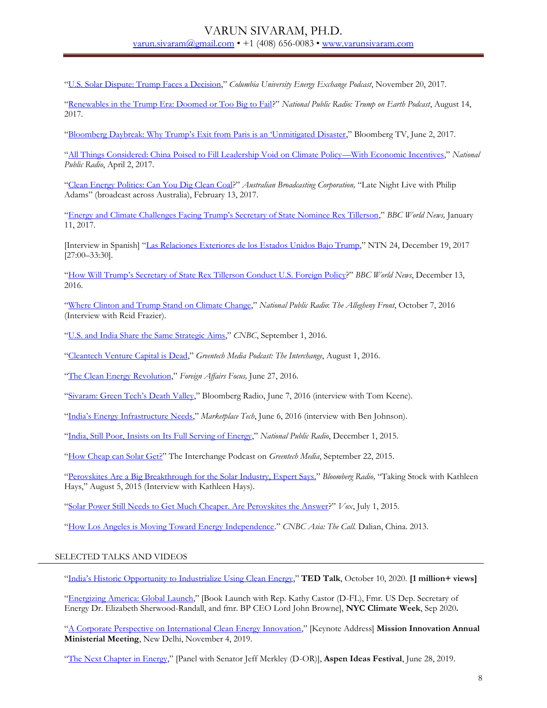"[U.S. Solar Dispute: Trump Faces a Decision](http://energypolicy.columbia.edu/podcast/columbia-energy-exchange)," *Columbia University Energy Exchange Podcast*, November 20, 2017.

"[Renewables in the Trump Era: Doomed or Too Big to Fail](https://trumponearth.org/episodes/ep-19-future-of-renewables-under-trump)?" *National Public Radio: Trump on Earth Podcast*, August 14, 2017.

["Bloomberg Daybreak: Why Trump's Exit from Paris is an 'Unmitigated Disaster,"](https://www.youtube.com/watch?v=46egv-v7200&feature=youtu.be) Bloomberg TV, June 2, 2017.

"[All Things Considered: China Poised to Fill Leadership Void on Climate Policy](http://ualrpublicradio.org/post/china-poised-fill-leadership-void-climate-policy-economic-incentives#stream/0)—With Economic Incentives," *National Public Radio*, April 2, 2017.

"[Clean Energy Politics: Can You Dig Clean Coal](https://radio.abc.net.au/programitem/pge46xk2RG?play=true)?" *Australian Broadcasting Corporation,* "Late Night Live with Philip Adams" (broadcast across Australia), February 13, 2017.

"Ene[rgy and Climate Challenges Facing Trump's Secretary of State Nominee Rex Tillerson,](https://www.youtube.com/watch?v=hGTpFGpzxcM)" *BBC World News,* January 11, 2017.

[Interview in Spanish] "[Las Relaciones Exteriores de los Estados Unidos Bajo Trump](https://www.youtube.com/watch?v=BcwB9k7cIMc&feature=youtu.be)," NTN 24, December 19, 2017 [27:00–33:30].

["How Will Trump's Secretary of State Rex Tillerson Conduct U.S. Foreign Poli](https://www.facebook.com/varun.sivaram/videos/vb.1057890116/10209988972615062/?type=2&theater)cy?" *BBC World News*, December 13, 2016.

"[Where Clinton and Trump Stand on Climate Change](http://www.alleghenyfront.org/where-clinton-and-trump-stand-on-climate-change/)," *National Public Radio*: *The Allegheny Front*, October 7, 2016 (Interview with Reid Frazier).

"[U.S. and India Share the Same Strategic Aims](http://video.cnbc.com/gallery/?video=3000547650)," *CNBC*, September 1, 2016.

"[Cleantech Venture Capital is Dead](https://www.greentechmedia.com/squared/read/cleantech-venture-capital-is-dead-long-live-cleantech-venture-capital)," *Greentech Media Podcast: The Interchange*, August 1, 2016.

"[The Clean Energy Revolution](https://www.youtube.com/watch?v=zN0QfyxKvxM)," *Foreign Affairs Focus,* June 27, 2016.

["Sivaram: Green Tech's Death Valley,](http://www.bloomberg.com/news/audio/2016-06-07/sivaram-green-tech-s-death-valley)" Bloomberg Radio, June 7, 2016 (interview with Tom Keene).

["India's Energy Infrastructure Needs,](http://www.marketplace.org/shows/marketplace-tech/marketplace-tech-monday-june-6-2016?WT.mc_id=e9439b30d9e5becd9976200b7bc8a737)" *Marketplace Tech*, June 6, 2016 (interview with Ben Johnson).

"[India, Still Poor, Insists on Its Full Serving of Energy](file:///C:/Users/VSivaram/Documents/India,%20Still%20Poor,%20Insists%20on%20Its%20Full%20Serving%20of%20Energy)," *National Public Radio*, December 1, 2015.

"[How Cheap can Solar Get?](https://www.greentechmedia.com/squared/read/the-interchange-how-cheap-can-solar-get)" The Interchange Podcast on *Greentech Media*, September 22, 2015.

"[Perovskites Are a Big Breakthrough for the Solar Industry, Expert Says](http://media.bloomberg.com/bb/avfile/vzKWfEK3F2as.mp3)," *Bloomberg Radio,* "Taking Stock with Kathleen Hays," August 5, 2015 (Interview with Kathleen Hays).

"[Solar Power Still Needs to Get Much Cheaper. Are Perovskites the Answer](http://www.vox.com/2015/7/1/8877305/perovskite-solar-power)?" *Vox*, July 1, 2015.

"[How Los Angeles is Moving Toward Energy Independence](http://video.cnbc.com/gallery/?play=1&video=3000198544)." *CNBC Asia: The Call.* Dalian, China. 2013.

### SELECTED TALKS AND VIDEOS

["India's Historic Opportunity to Industrialize Using Clean Energy,](https://www.ted.com/talks/varun_sivaram_india_s_historic_opportunity_to_industrialize_using_clean_energy?language=en)" **TED Talk**, October 10, 2020. **[1 million+ views]**

"[Energizing America: Global Launch](https://www.youtube.com/watch?v=O8RswdkGego)," [Book Launch with Rep. Kathy Castor (D-FL), Fmr. US Dep. Secretary of Energy Dr. Elizabeth Sherwood-Randall, and fmr. BP CEO Lord John Browne], **NYC Climate Week**, Sep 2020**.**

"[A Corporate Perspective on International Clean Energy Innovation](http://mission-innovation.net/2020/01/10/innovation-challenges-face-to-face-meetings-november-4-5-2019/)," [Keynote Address] **Mission Innovation Annual Ministerial Meeting**, New Delhi, November 4, 2019.

"[The Next Chapter in Energy](https://www.aspenideas.org/sessions/the-next-chapter-in-energy-is-here)," [Panel with Senator Jeff Merkley (D-OR)], **Aspen Ideas Festival**, June 28, 2019.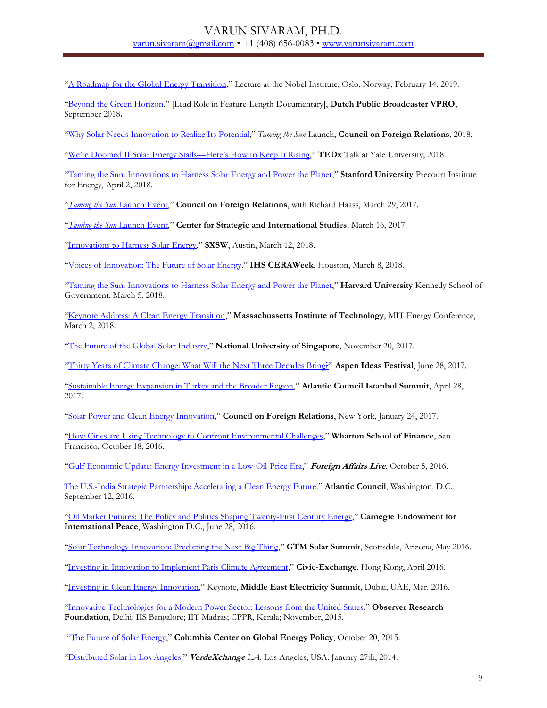"[A Roadmap for the Global Energy Transition](https://www.youtube.com/watch?v=yX5oSmPG1cM)," Lecture at the Nobel Institute, Oslo, Norway, February 14, 2019.

"[Beyond the Green Horizon](https://www.youtube.com/watch?time_continue=212&v=cEjT2_NCeFc)," [Lead Role in Feature-Length Documentary], **Dutch Public Broadcaster VPRO,** September 2018**.**

"[Why Solar Needs Innovation to Realize Its Potential](file:///C:/Users/sirsi/Google%20Drive/Resume/youtube.com/watch%3fv=nTFqKHKWc20&feature=youtu.be)," *Taming the Sun* Launch, **Council on Foreign Relations**, 2018.

["We're Doomed If Solar Energy Stalls—Here's How to Keep It Rising,](https://www.youtube.com/watch?v=AV5R7JO-vOc)" **TEDx** Talk at Yale University, 2018.

"[Taming the Sun: Innovations to Harness Solar Energy and Power the Planet](https://energy.stanford.edu/events/energy-seminar-varun-sivaram-taming-sun-innovations-harness-solar-energy-and-power-planet)," **Stanford University** Precourt Institute for Energy, April 2, 2018.

"*[Taming the Sun](https://www.youtube.com/watch?v=khNDqpF4Ycc)* Launch Event," **Council on Foreign Relations**, with Richard Haass, March 29, 2017.

"*[Taming the Sun](https://www.csis.org/events/taming-sun)* Launch Event," **Center for Strategic and International Studies**, March 16, 2017.

"[Innovations to Harness Solar Energy](https://schedule.sxsw.com/2018/events/PP73476)," **SXSW**, Austin, March 12, 2018.

"[Voices of Innovation: The Future of Solar Energy](https://ondemand.ceraweek.com/detail/videos/interviews/video/5748483084001/voices-of-innovation-with-varun-sivaram?autoStart=true)," **IHS CERAWeek**, Houston, March 8, 2018.

"[Taming the Sun: Innovations to Harness Solar Energy and Power the Planet](http://environment.harvard.edu/events/2018-03-05-170000-2018-03-05-183000/energy-policy-seminar)," **Harvard University** Kennedy School of Government, March 5, 2018.

"[Keynote Address: A Clean Energy Transition](https://www.mitenergyconference.org/varun-sivaram-recap/)," **Massachussetts Institute of Technology**, MIT Energy Conference, March 2, 2018.

"[The Future of the Global Solar Industry](http://esi.nus.edu.sg/docs/default-source/event/dr-varun-sivaram-seminar-20-nov-2017.pdf?sfvrsn=2)," **National University of Singapore**, November 20, 2017.

"[Thirty Years of Climate Change: What Will the Next Three Decades Bring?](https://www.youtube.com/watch?time_continue=1001&v=VP0FPAGMJiI)" **Aspen Ideas Festival**, June 28, 2017.

"[Sustainable Energy Expansion in Turkey and the Broader Region](https://www.youtube.com/watch?v=pNqmp5NkBng)," **Atlantic Council Istanbul Summit**, April 28, 2017.

"[Solar Power and Clean Energy Innovation](http://www.cfr.org/renewable-energy/solar-power-clean-energy-innovation/p38691)," **Council on Foreign Relations**, New York, January 24, 2017.

"[How Cities are Using Technology to Confront Environmental Challenges](https://igel.wharton.upenn.edu/2016-rubicon-global-conference/)," **Wharton School of Finance**, San Francisco, October 18, 2016.

"[Gulf Economic Update: Energy Investment in a Low-Oil-Price Era](https://www.foreignaffairs.com/events/2016-10-05/foreign-affairs-live-gulf-economic-update)," **Foreign Affairs Live**, October 5, 2016.

[The U.S.-India Strategic Partnership: Accelerating a Clean Energy Future](https://www.youtube.com/watch?v=8hZxIOsIrQc)," **Atlantic Council**, Washington, D.C., September 12, 2016.

"[Oil Market Futures: The Policy and Politics Shaping Twenty-First Century Energy](http://carnegieendowment.org/2016/06/27/oil-market-futures-policy-and-politics-shaping-twenty-first-century-energy-event-5298)," **Carnegie Endowment for International Peace**, Washington D.C., June 28, 2016.

"[Solar Technology Innovation: Predicting the Next Big Thing](http://www.greentechmedia.com/squared/read/Watch-the-Live-Broadcast-of-Solar-Summit-2016-and-Solar-Software-Summit)," **GTM Solar Summit**, Scottsdale, Arizona, May 2016.

"[Investing in Innovation to Implement Paris Climate Agreement](http://civic-exchange.org/en/events/Investing-in-Innovation-to-Implement-the-Paris-Climate-Agreement_114)," **Civic-Exchange**, Hong Kong, April 2016.

"[Investing in Clean Energy Innovation](https://www.youtube.com/watch?v=Y4JCzdSV_Jc)," Keynote, **Middle East Electricity Summit**, Dubai, UAE, Mar. 2016.

"[Innovative Technologies for a Modern Power Sector: Lessons from the United States](https://www.google.com/url?sa=t&rct=j&q=&esrc=s&source=web&cd=3&cad=rja&uact=8&ved=0ahUKEwjwnoajwITNAhXDdR4KHfNoCFEQtwIILDAC&url=https%3A%2F%2Fwww.youtube.com%2Fwatch%3Fv%3DDTH7U1NCMus&usg=AFQjCNFOwJqRffwOFqMyr_V5FypmwT9urQ&sig2=BzluCrKM_PVy0ZBePi9Nnw&bvm=bv.123325700,d.dmo)," **Observer Research Foundation**, Delhi; IIS Bangalore; IIT Madras; CPPR, Kerala; November, 2015.

"[The Future of Solar Energy](http://energypolicy.columbia.edu/events-calendar/future-solar-energy)," **Columbia Center on Global Energy Policy**, October 20, 2015.

"[Distributed Solar in Los Angeles](http://vimeo.com/89419006)." **VerdeXchange** *LA*. Los Angeles, USA. January 27th, 2014.